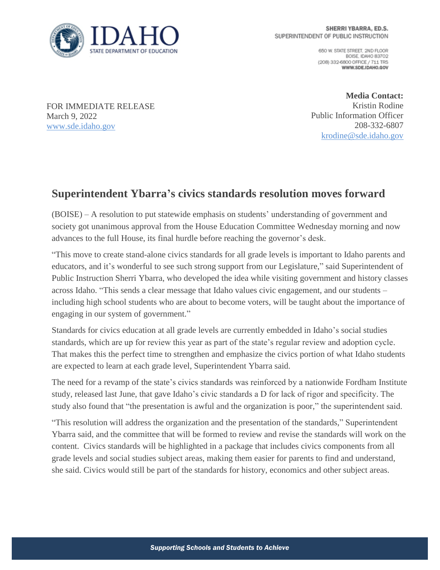

650 W. STATE STREET, 2ND FLOOR BOISE, IDAHO 83702 (208) 332-6800 OFFICE / 711 TRS WWW.SDE.IDAHO.GOV

FOR IMMEDIATE RELEASE March 9, 2022 [www.sde.idaho.gov](http://www.sde.idaho.gov/)

**Media Contact:** Kristin Rodine Public Information Officer 208-332-6807 [krodine@sde.idaho.gov](mailto:krodine@sde.idaho.gov)

## **Superintendent Ybarra's civics standards resolution moves forward**

(BOISE) – A resolution to put statewide emphasis on students' understanding of government and society got unanimous approval from the House Education Committee Wednesday morning and now advances to the full House, its final hurdle before reaching the governor's desk.

"This move to create stand-alone civics standards for all grade levels is important to Idaho parents and educators, and it's wonderful to see such strong support from our Legislature," said Superintendent of Public Instruction Sherri Ybarra, who developed the idea while visiting government and history classes across Idaho. "This sends a clear message that Idaho values civic engagement, and our students – including high school students who are about to become voters, will be taught about the importance of engaging in our system of government."

Standards for civics education at all grade levels are currently embedded in Idaho's social studies standards, which are up for review this year as part of the state's regular review and adoption cycle. That makes this the perfect time to strengthen and emphasize the civics portion of what Idaho students are expected to learn at each grade level, Superintendent Ybarra said.

The need for a revamp of the state's civics standards was reinforced by a nationwide Fordham Institute study, released last June, that gave Idaho's civic standards a D for lack of rigor and specificity. The study also found that "the presentation is awful and the organization is poor," the superintendent said.

"This resolution will address the organization and the presentation of the standards," Superintendent Ybarra said, and the committee that will be formed to review and revise the standards will work on the content. Civics standards will be highlighted in a package that includes civics components from all grade levels and social studies subject areas, making them easier for parents to find and understand, she said. Civics would still be part of the standards for history, economics and other subject areas.